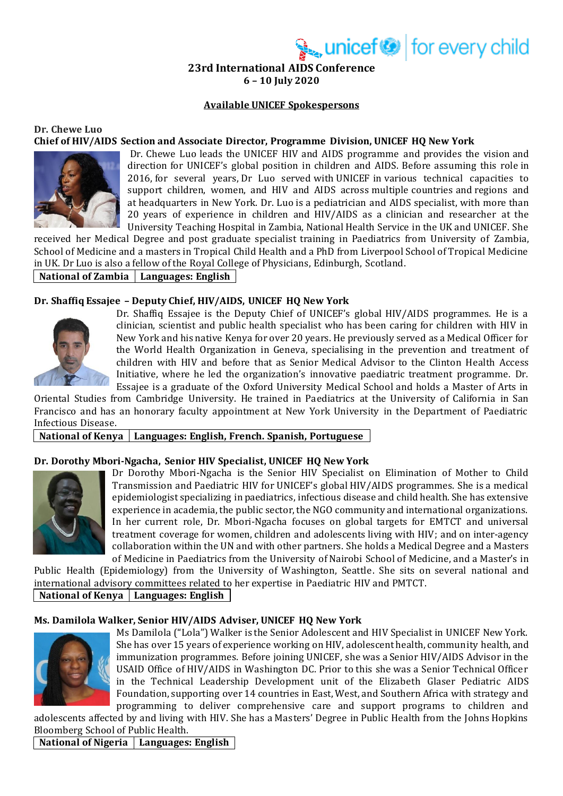unicef<sup>®</sup> for every child

**23rd International AIDS Conference 6 – 10 July 2020**

### **Available UNICEF Spokespersons**

## **Dr. Chewe Luo Chief of HIV/AIDS Section and Associate Director, Programme Division, UNICEF HQ New York**



Dr. Chewe Luo leads the UNICEF HIV and AIDS programme and provides the vision and direction for UNICEF's global position in children and AIDS. Before assuming this role in 2016, for several years, Dr Luo served with UNICEF in various technical capacities to support children, women, and HIV and AIDS across multiple countries and regions and at headquarters in New York. Dr. Luo is a pediatrician and AIDS specialist, with more than 20 years of experience in children and HIV/AIDS as a clinician and researcher at the University Teaching Hospital in Zambia, National Health Service in the UK and UNICEF. She

received her Medical Degree and post graduate specialist training in Paediatrics from University of Zambia, School of Medicine and a masters in Tropical Child Health and a PhD from Liverpool School of Tropical Medicine in UK. Dr Luo is also a fellow of the Royal College of Physicians, Edinburgh, Scotland.

## **National of Zambia Languages: English**

### **Dr. Shaffiq Essajee – Deputy Chief, HIV/AIDS, UNICEF HQ New York**



Dr. Shaffiq Essajee is the Deputy Chief of UNICEF's global HIV/AIDS programmes. He is a clinician, scientist and public health specialist who has been caring for children with HIV in New York and his native Kenya for over 20 years. He previously served as a Medical Officer for the World Health Organization in Geneva, specialising in the prevention and treatment of children with HIV and before that as Senior Medical Advisor to the Clinton Health Access Initiative, where he led the organization's innovative paediatric treatment programme. Dr. Essajee is a graduate of the Oxford University Medical School and holds a Master of Arts in

Oriental Studies from Cambridge University. He trained in Paediatrics at the University of California in San Francisco and has an honorary faculty appointment at New York University in the Department of Paediatric Infectious Disease.

### National of Kenya | Languages: English, French. Spanish, Portuguese

### **Dr. Dorothy Mbori-Ngacha, Senior HIV Specialist, UNICEF HQ New York**



Dr Dorothy Mbori-Ngacha is the Senior HIV Specialist on Elimination of Mother to Child Transmission and Paediatric HIV for UNICEF's global HIV/AIDS programmes. She is a medical epidemiologist specializing in paediatrics, infectious disease and child health. She has extensive experience in academia, the public sector, the NGO community and international organizations. In her current role, Dr. Mbori-Ngacha focuses on global targets for EMTCT and universal treatment coverage for women, children and adolescents living with HIV; and on inter-agency collaboration within the UN and with other partners. She holds a Medical Degree and a Masters of Medicine in Paediatrics from the University of Nairobi School of Medicine, and a Master's in

Public Health (Epidemiology) from the University of Washington, Seattle. She sits on several national and international advisory committees related to her expertise in Paediatric HIV and PMTCT. **National of Kenya Languages: English**

### **Ms. Damilola Walker, Senior HIV/AIDS Adviser, UNICEF HQ New York**



Ms Damilola ("Lola") Walker is the Senior Adolescent and HIV Specialist in UNICEF New York. She has over 15 years of experience working on HIV, adolescent health, community health, and immunization programmes. Before joining UNICEF, she was a Senior HIV/AIDS Advisor in the USAID Office of HIV/AIDS in Washington DC. Prior to this she was a Senior Technical Officer in the Technical Leadership Development unit of the Elizabeth Glaser Pediatric AIDS Foundation, supporting over 14 countries in East, West, and Southern Africa with strategy and programming to deliver comprehensive care and support programs to children and

adolescents affected by and living with HIV. She has a Masters' Degree in Public Health from the Johns Hopkins Bloomberg School of Public Health.

**National of Nigeria Languages: English**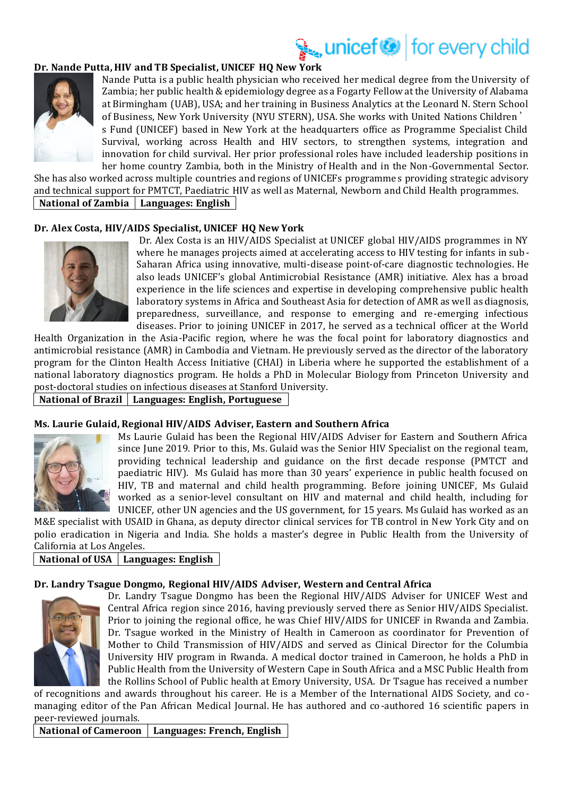# unicef<sup>or</sup> for every child

### **Dr. Nande Putta, HIV and TB Specialist, UNICEF HQ New York**



Nande Putta is a public health physician who received her medical degree from the University of Zambia; her public health & epidemiology degree as a Fogarty Fellow at the University of Alabama at Birmingham (UAB), USA; and her training in Business Analytics at the Leonard N. Stern School of Business, New York University (NYU STERN), USA. She works with United Nations Children' s Fund (UNICEF) based in New York at the headquarters office as Programme Specialist Child Survival, working across Health and HIV sectors, to strengthen systems, integration and innovation for child survival. Her prior professional roles have included leadership positions in her home country Zambia, both in the Ministry of Health and in the Non-Governmental Sector.

She has also worked across multiple countries and regions of UNICEFs programmes providing strategic advisory and technical support for PMTCT, Paediatric HIV as well as Maternal, Newborn and Child Health programmes. **National of Zambia Languages: English**

### **Dr. Alex Costa, HIV/AIDS Specialist, UNICEF HQ New York**



Dr. Alex Costa is an HIV/AIDS Specialist at UNICEF global HIV/AIDS programmes in NY where he manages projects aimed at accelerating access to HIV testing for infants in sub-Saharan Africa using innovative, multi-disease point-of-care diagnostic technologies. He also leads UNICEF's global Antimicrobial Resistance (AMR) initiative. Alex has a broad experience in the life sciences and expertise in developing comprehensive public health laboratory systems in Africa and Southeast Asia for detection of AMR as well as diagnosis, preparedness, surveillance, and response to emerging and re-emerging infectious diseases. Prior to joining UNICEF in 2017, he served as a technical officer at the World

Health Organization in the Asia-Pacific region, where he was the focal point for laboratory diagnostics and antimicrobial resistance (AMR) in Cambodia and Vietnam. He previously served as the director of the laboratory program for the Clinton Health Access Initiative (CHAI) in Liberia where he supported the establishment of a national laboratory diagnostics program. He holds a PhD in Molecular Biology from Princeton University and post-doctoral studies on infectious diseases at Stanford University.

**National of Brazil Languages: English, Portuguese**

### **Ms. Laurie Gulaid, Regional HIV/AIDS Adviser, Eastern and Southern Africa**



Ms Laurie Gulaid has been the Regional HIV/AIDS Adviser for Eastern and Southern Africa since June 2019. Prior to this, Ms. Gulaid was the Senior HIV Specialist on the regional team, providing technical leadership and guidance on the first decade response (PMTCT and paediatric HIV). Ms Gulaid has more than 30 years' experience in public health focused on HIV, TB and maternal and child health programming. Before joining UNICEF, Ms Gulaid worked as a senior-level consultant on HIV and maternal and child health, including for UNICEF, other UN agencies and the US government, for 15 years. Ms Gulaid has worked as an

M&E specialist with USAID in Ghana, as deputy director clinical services for TB control in New York City and on polio eradication in Nigeria and India. She holds a master's degree in Public Health from the University of California at Los Angeles.

### **National of USA Languages: English**

### **Dr. Landry Tsague Dongmo, Regional HIV/AIDS Adviser, Western and Central Africa**



Dr. Landry Tsague Dongmo has been the Regional HIV/AIDS Adviser for UNICEF West and Central Africa region since 2016, having previously served there as Senior HIV/AIDS Specialist. Prior to joining the regional office, he was Chief HIV/AIDS for UNICEF in Rwanda and Zambia. Dr. Tsague worked in the Ministry of Health in Cameroon as coordinator for Prevention of Mother to Child Transmission of HIV/AIDS and served as Clinical Director for the Columbia University HIV program in Rwanda. A medical doctor trained in Cameroon, he holds a PhD in Public Health from the University of Western Cape in South Africa and a MSC Public Health from the Rollins School of Public health at Emory University, USA. Dr Tsague has received a number

of recognitions and awards throughout his career. He is a Member of the International AIDS Society, and comanaging editor of the Pan African Medical Journal. He has authored and co-authored 16 scientific papers in peer-reviewed journals.

**National of Cameroon Languages: French, English**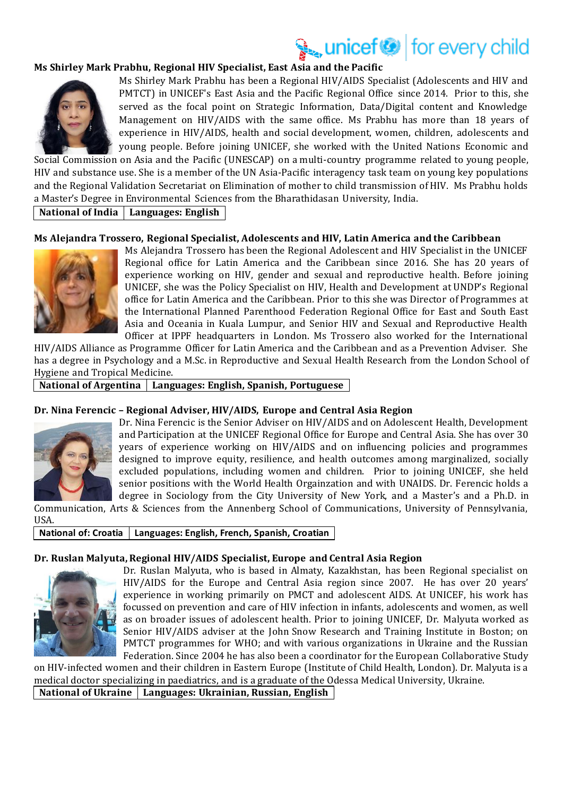## unicef<sup>®</sup> for every child

### **Ms Shirley Mark Prabhu, Regional HIV Specialist, East Asia and the Pacific**



Ms Shirley Mark Prabhu has been a Regional HIV/AIDS Specialist (Adolescents and HIV and PMTCT) in UNICEF's East Asia and the Pacific Regional Office since 2014. Prior to this, she served as the focal point on Strategic Information, Data/Digital content and Knowledge Management on HIV/AIDS with the same office. Ms Prabhu has more than 18 years of experience in HIV/AIDS, health and social development, women, children, adolescents and young people. Before joining UNICEF, she worked with the United Nations Economic and

Social Commission on Asia and the Pacific (UNESCAP) on a multi-country programme related to young people, HIV and substance use. She is a member of the UN Asia-Pacific interagency task team on young key populations and the Regional Validation Secretariat on Elimination of mother to child transmission of HIV. Ms Prabhu holds a Master's Degree in Environmental Sciences from the Bharathidasan University, India.

## **National of India Languages: English**

### **Ms Alejandra Trossero, Regional Specialist, Adolescents and HIV, Latin America and the Caribbean**



Ms Alejandra Trossero has been the Regional Adolescent and HIV Specialist in the UNICEF Regional office for Latin America and the Caribbean since 2016. She has 20 years of experience working on HIV, gender and sexual and reproductive health. Before joining UNICEF, she was the Policy Specialist on HIV, Health and Development at UNDP's Regional office for Latin America and the Caribbean. Prior to this she was Director of Programmes at the International Planned Parenthood Federation Regional Office for East and South East Asia and Oceania in Kuala Lumpur, and Senior HIV and Sexual and Reproductive Health Officer at IPPF headquarters in London. Ms Trossero also worked for the International

HIV/AIDS Alliance as Programme Officer for Latin America and the Caribbean and as a Prevention Adviser. She has a degree in Psychology and a M.Sc. in Reproductive and Sexual Health Research from the London School of Hygiene and Tropical Medicine.

**National of Argentina Languages: English, Spanish, Portuguese**

### **Dr. Nina Ferencic – Regional Adviser, HIV/AIDS, Europe and Central Asia Region**



Dr. Nina Ferencic is the Senior Adviser on HIV/AIDS and on Adolescent Health, Development and Participation at the UNICEF Regional Office for Europe and Central Asia. She has over 30 years of experience working on HIV/AIDS and on influencing policies and programmes designed to improve equity, resilience, and health outcomes among marginalized, socially excluded populations, including women and children. Prior to joining UNICEF, she held senior positions with the World Health Orgainzation and with UNAIDS. Dr. Ferencic holds a degree in Sociology from the City University of New York, and a Master's and a Ph.D. in

Communication, Arts & Sciences from the Annenberg School of Communications, University of Pennsylvania, USA.

### **National of: Croatia Languages: English, French, Spanish, Croatian**

### **Dr. Ruslan Malyuta, Regional HIV/AIDS Specialist, Europe and Central Asia Region**



Dr. Ruslan Malyuta, who is based in Almaty, Kazakhstan, has been Regional specialist on HIV/AIDS for the Europe and Central Asia region since 2007. He has over 20 years' experience in working primarily on PMCT and adolescent AIDS. At UNICEF, his work has focussed on prevention and care of HIV infection in infants, adolescents and women, as well as on broader issues of adolescent health. Prior to joining UNICEF, Dr. Malyuta worked as Senior HIV/AIDS adviser at the John Snow Research and Training Institute in Boston; on PMTCT programmes for WHO; and with various organizations in Ukraine and the Russian Federation. Since 2004 he has also been a coordinator for the European Collaborative Study

on HIV-infected women and their children in Eastern Europe (Institute of Child Health, London). Dr. Malyuta is a medical doctor specializing in paediatrics, and is a graduate of the Odessa Medical University, Ukraine.

**National of Ukraine Languages: Ukrainian, Russian, English**